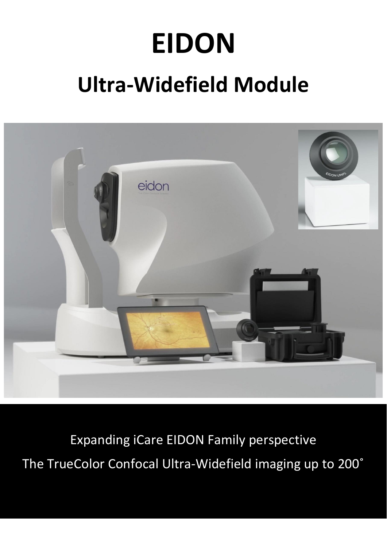# **EIDON Ultra-Widefield Module**



Expanding iCare EIDON Family perspective The TrueColor Confocal Ultra-Widefield imaging up to 200˚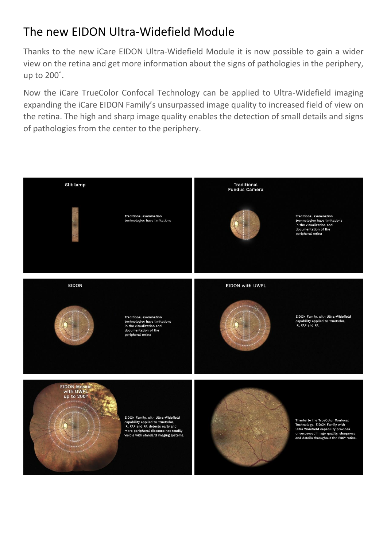## The new EIDON Ultra-Widefield Module

Thanks to the new iCare EIDON Ultra-Widefield Module it is now possible to gain a wider view on the retina and get more information about the signs of pathologies in the periphery, up to 200˚.

Now the iCare TrueColor Confocal Technology can be applied to Ultra-Widefield imaging expanding the iCare EIDON Family's unsurpassed image quality to increased field of view on the retina. The high and sharp image quality enables the detection of small details and signs of pathologies from the center to the periphery.

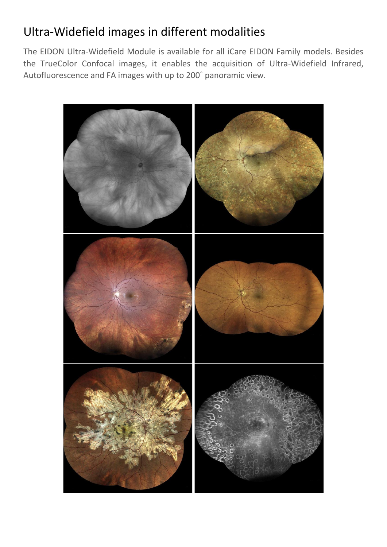## Ultra-Widefield images in different modalities

The EIDON Ultra-Widefield Module is available for all iCare EIDON Family models. Besides the TrueColor Confocal images, it enables the acquisition of Ultra-Widefield Infrared, Autofluorescence and FA images with up to 200˚ panoramic view.